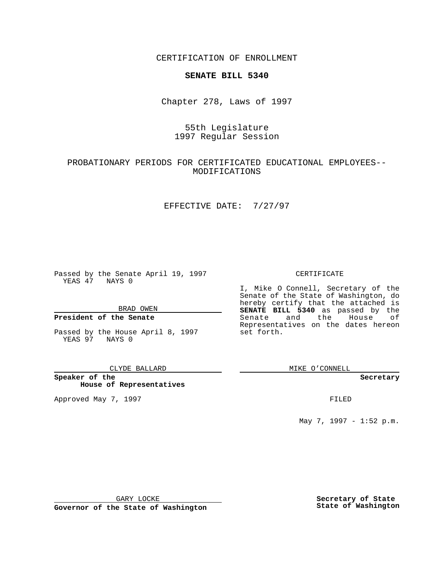CERTIFICATION OF ENROLLMENT

# **SENATE BILL 5340**

Chapter 278, Laws of 1997

# 55th Legislature 1997 Regular Session

## PROBATIONARY PERIODS FOR CERTIFICATED EDUCATIONAL EMPLOYEES-- MODIFICATIONS

### EFFECTIVE DATE: 7/27/97

Passed by the Senate April 19, 1997 YEAS 47 NAYS 0

BRAD OWEN

### **President of the Senate**

Passed by the House April 8, 1997 YEAS 97 NAYS 0

#### CLYDE BALLARD

**Speaker of the House of Representatives**

Approved May 7, 1997 **FILED** 

### CERTIFICATE

I, Mike O Connell, Secretary of the Senate of the State of Washington, do hereby certify that the attached is **SENATE BILL 5340** as passed by the Senate and the House of Representatives on the dates hereon set forth.

MIKE O'CONNELL

#### **Secretary**

May 7, 1997 - 1:52 p.m.

GARY LOCKE

**Governor of the State of Washington**

**Secretary of State State of Washington**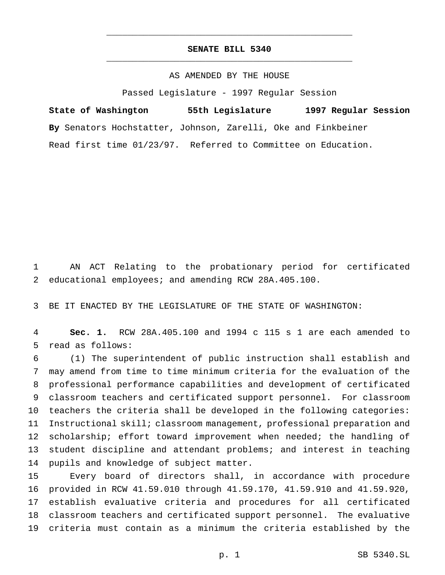## **SENATE BILL 5340** \_\_\_\_\_\_\_\_\_\_\_\_\_\_\_\_\_\_\_\_\_\_\_\_\_\_\_\_\_\_\_\_\_\_\_\_\_\_\_\_\_\_\_\_\_\_\_

\_\_\_\_\_\_\_\_\_\_\_\_\_\_\_\_\_\_\_\_\_\_\_\_\_\_\_\_\_\_\_\_\_\_\_\_\_\_\_\_\_\_\_\_\_\_\_

### AS AMENDED BY THE HOUSE

Passed Legislature - 1997 Regular Session

**State of Washington 55th Legislature 1997 Regular Session By** Senators Hochstatter, Johnson, Zarelli, Oke and Finkbeiner Read first time 01/23/97. Referred to Committee on Education.

 AN ACT Relating to the probationary period for certificated educational employees; and amending RCW 28A.405.100.

BE IT ENACTED BY THE LEGISLATURE OF THE STATE OF WASHINGTON:

 **Sec. 1.** RCW 28A.405.100 and 1994 c 115 s 1 are each amended to read as follows:

 (1) The superintendent of public instruction shall establish and may amend from time to time minimum criteria for the evaluation of the professional performance capabilities and development of certificated classroom teachers and certificated support personnel. For classroom teachers the criteria shall be developed in the following categories: Instructional skill; classroom management, professional preparation and scholarship; effort toward improvement when needed; the handling of student discipline and attendant problems; and interest in teaching pupils and knowledge of subject matter.

 Every board of directors shall, in accordance with procedure provided in RCW 41.59.010 through 41.59.170, 41.59.910 and 41.59.920, establish evaluative criteria and procedures for all certificated classroom teachers and certificated support personnel. The evaluative criteria must contain as a minimum the criteria established by the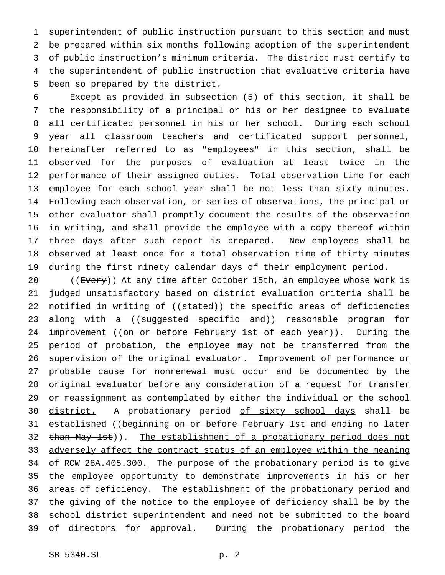superintendent of public instruction pursuant to this section and must be prepared within six months following adoption of the superintendent of public instruction's minimum criteria. The district must certify to the superintendent of public instruction that evaluative criteria have been so prepared by the district.

 Except as provided in subsection (5) of this section, it shall be the responsibility of a principal or his or her designee to evaluate all certificated personnel in his or her school. During each school year all classroom teachers and certificated support personnel, hereinafter referred to as "employees" in this section, shall be observed for the purposes of evaluation at least twice in the performance of their assigned duties. Total observation time for each employee for each school year shall be not less than sixty minutes. Following each observation, or series of observations, the principal or other evaluator shall promptly document the results of the observation in writing, and shall provide the employee with a copy thereof within three days after such report is prepared. New employees shall be observed at least once for a total observation time of thirty minutes during the first ninety calendar days of their employment period.

20 ((Every)) At any time after October 15th, an employee whose work is judged unsatisfactory based on district evaluation criteria shall be 22 notified in writing of ((stated)) the specific areas of deficiencies 23 along with a ((suggested specific and)) reasonable program for 24 improvement ((on or before February 1st of each year)). During the 25 period of probation, the employee may not be transferred from the supervision of the original evaluator. Improvement of performance or 27 probable cause for nonrenewal must occur and be documented by the 28 original evaluator before any consideration of a request for transfer 29 or reassignment as contemplated by either the individual or the school 30 district. A probationary period of sixty school days shall be 31 established ((beginning on or before February 1st and ending no later 32 than May 1st)). The establishment of a probationary period does not 33 adversely affect the contract status of an employee within the meaning 34 of RCW 28A.405.300. The purpose of the probationary period is to give the employee opportunity to demonstrate improvements in his or her areas of deficiency. The establishment of the probationary period and the giving of the notice to the employee of deficiency shall be by the school district superintendent and need not be submitted to the board of directors for approval. During the probationary period the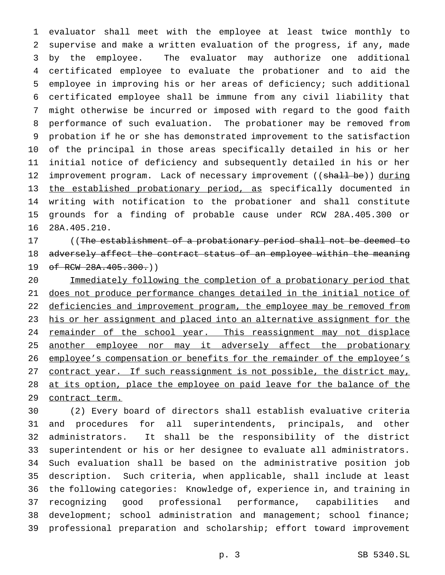evaluator shall meet with the employee at least twice monthly to supervise and make a written evaluation of the progress, if any, made by the employee. The evaluator may authorize one additional certificated employee to evaluate the probationer and to aid the employee in improving his or her areas of deficiency; such additional certificated employee shall be immune from any civil liability that might otherwise be incurred or imposed with regard to the good faith performance of such evaluation. The probationer may be removed from probation if he or she has demonstrated improvement to the satisfaction of the principal in those areas specifically detailed in his or her initial notice of deficiency and subsequently detailed in his or her 12 improvement program. Lack of necessary improvement ((shall be)) during the established probationary period, as specifically documented in writing with notification to the probationer and shall constitute grounds for a finding of probable cause under RCW 28A.405.300 or 28A.405.210.

 ((The establishment of a probationary period shall not be deemed to 18 adversely affect the contract status of an employee within the meaning 19 of RCW 28A.405.300.)

 Immediately following the completion of a probationary period that does not produce performance changes detailed in the initial notice of 22 deficiencies and improvement program, the employee may be removed from 23 his or her assignment and placed into an alternative assignment for the 24 remainder of the school year. This reassignment may not displace 25 another employee nor may it adversely affect the probationary 26 employee's compensation or benefits for the remainder of the employee's 27 contract year. If such reassignment is not possible, the district may, 28 at its option, place the employee on paid leave for the balance of the 29 contract term.

 (2) Every board of directors shall establish evaluative criteria and procedures for all superintendents, principals, and other administrators. It shall be the responsibility of the district superintendent or his or her designee to evaluate all administrators. Such evaluation shall be based on the administrative position job description. Such criteria, when applicable, shall include at least the following categories: Knowledge of, experience in, and training in recognizing good professional performance, capabilities and 38 development; school administration and management; school finance; professional preparation and scholarship; effort toward improvement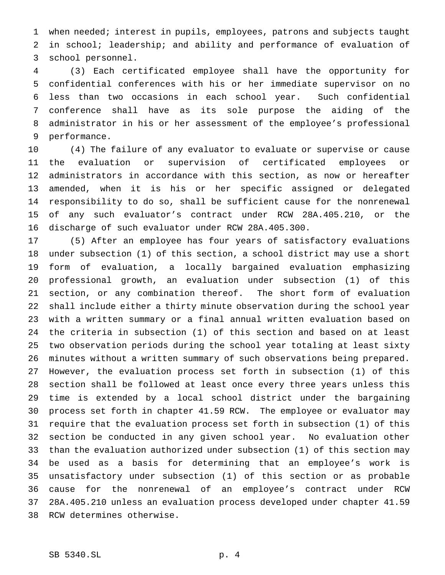when needed; interest in pupils, employees, patrons and subjects taught in school; leadership; and ability and performance of evaluation of school personnel.

 (3) Each certificated employee shall have the opportunity for confidential conferences with his or her immediate supervisor on no less than two occasions in each school year. Such confidential conference shall have as its sole purpose the aiding of the administrator in his or her assessment of the employee's professional performance.

 (4) The failure of any evaluator to evaluate or supervise or cause the evaluation or supervision of certificated employees or administrators in accordance with this section, as now or hereafter amended, when it is his or her specific assigned or delegated responsibility to do so, shall be sufficient cause for the nonrenewal of any such evaluator's contract under RCW 28A.405.210, or the discharge of such evaluator under RCW 28A.405.300.

 (5) After an employee has four years of satisfactory evaluations under subsection (1) of this section, a school district may use a short form of evaluation, a locally bargained evaluation emphasizing professional growth, an evaluation under subsection (1) of this section, or any combination thereof. The short form of evaluation shall include either a thirty minute observation during the school year with a written summary or a final annual written evaluation based on the criteria in subsection (1) of this section and based on at least two observation periods during the school year totaling at least sixty minutes without a written summary of such observations being prepared. However, the evaluation process set forth in subsection (1) of this section shall be followed at least once every three years unless this time is extended by a local school district under the bargaining process set forth in chapter 41.59 RCW. The employee or evaluator may require that the evaluation process set forth in subsection (1) of this section be conducted in any given school year. No evaluation other than the evaluation authorized under subsection (1) of this section may be used as a basis for determining that an employee's work is unsatisfactory under subsection (1) of this section or as probable cause for the nonrenewal of an employee's contract under RCW 28A.405.210 unless an evaluation process developed under chapter 41.59 RCW determines otherwise.